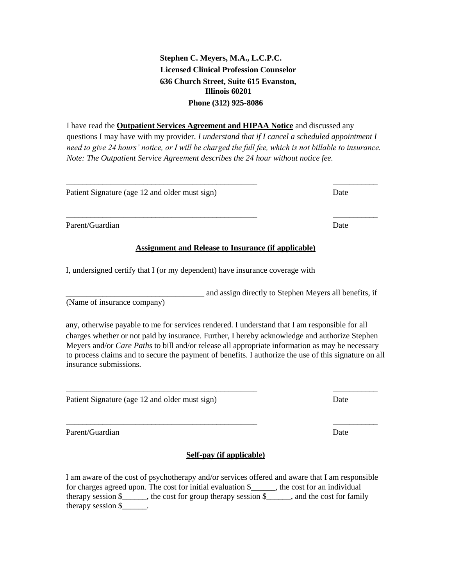## **Stephen C. Meyers, M.A., L.C.P.C. Licensed Clinical Profession Counselor 636 Church Street, Suite 615 Evanston, Illinois 60201 Phone (312) 925-8086**

I have read the **Outpatient Services Agreement and HIPAA Notice** and discussed any questions I may have with my provider. *I understand that if I cancel a scheduled appointment I need to give 24 hours' notice, or I will be charged the full fee, which is not billable to insurance. Note: The Outpatient Service Agreement describes the 24 hour without notice fee.* 

\_\_\_\_\_\_\_\_\_\_\_\_\_\_\_\_\_\_\_\_\_\_\_\_\_\_\_\_\_\_\_\_\_\_\_\_\_\_\_\_\_\_\_\_\_\_\_ \_\_\_\_\_\_\_\_\_\_\_

\_\_\_\_\_\_\_\_\_\_\_\_\_\_\_\_\_\_\_\_\_\_\_\_\_\_\_\_\_\_\_\_\_\_\_\_\_\_\_\_\_\_\_\_\_\_\_ \_\_\_\_\_\_\_\_\_\_\_

Patient Signature (age 12 and older must sign)

Parent/Guardian Date **Date** 

## **Assignment and Release to Insurance (if applicable)**

I, undersigned certify that I (or my dependent) have insurance coverage with

(Name of insurance company)

any, otherwise payable to me for services rendered. I understand that I am responsible for all charges whether or not paid by insurance. Further, I hereby acknowledge and authorize Stephen Meyers and/or *Care Paths* to bill and/or release all appropriate information as may be necessary to process claims and to secure the payment of benefits. I authorize the use of this signature on all insurance submissions.

\_\_\_\_\_\_\_\_\_\_\_\_\_\_\_\_\_\_\_\_\_\_\_\_\_\_\_\_\_\_\_\_\_\_\_\_\_\_\_\_\_\_\_\_\_\_\_ \_\_\_\_\_\_\_\_\_\_\_

Patient Signature (age 12 and older must sign)

Parent/Guardian Date

## **Self-pay (if applicable)**

I am aware of the cost of psychotherapy and/or services offered and aware that I am responsible for charges agreed upon. The cost for initial evaluation \$\_\_\_\_\_\_, the cost for an individual therapy session \$\_\_\_\_\_\_, the cost for group therapy session \$\_\_\_\_\_\_, and the cost for family therapy session \$\_\_\_\_\_\_.

\_\_\_\_\_\_\_\_\_\_\_\_\_\_\_\_\_\_\_\_\_\_\_\_\_\_\_\_\_\_\_\_\_\_ and assign directly to Stephen Meyers all benefits, if

\_\_\_\_\_\_\_\_\_\_\_\_\_\_\_\_\_\_\_\_\_\_\_\_\_\_\_\_\_\_\_\_\_\_\_\_\_\_\_\_\_\_\_\_\_\_\_ \_\_\_\_\_\_\_\_\_\_\_

Date

Date